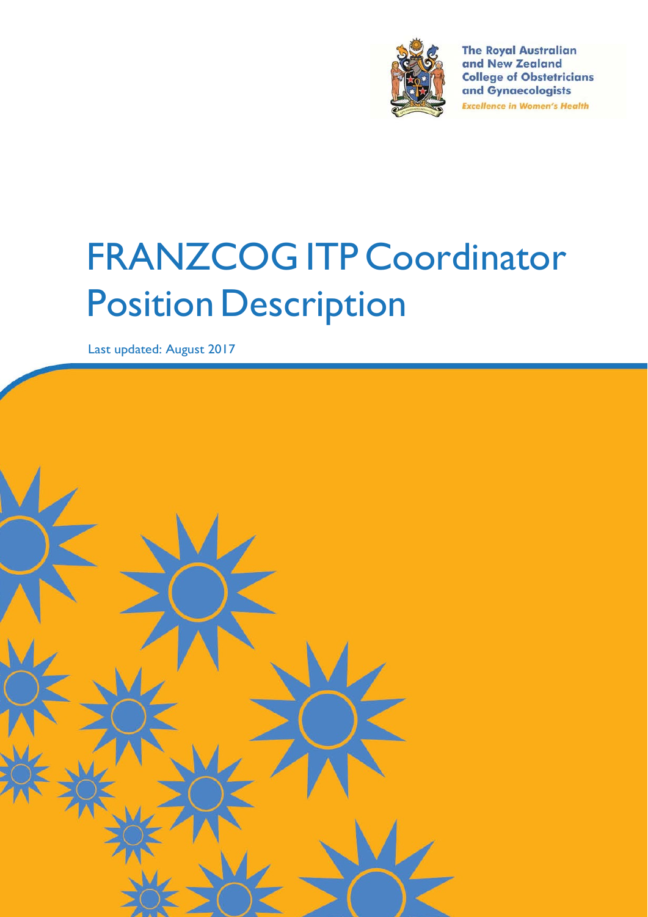

**The Royal Australian** and New Zealand **College of Obstetricians** and Gynaecologists **Excellence in Women's Health** 

# FRANZCOG ITP Coordinator **Position Description**

Last updated: August 2017

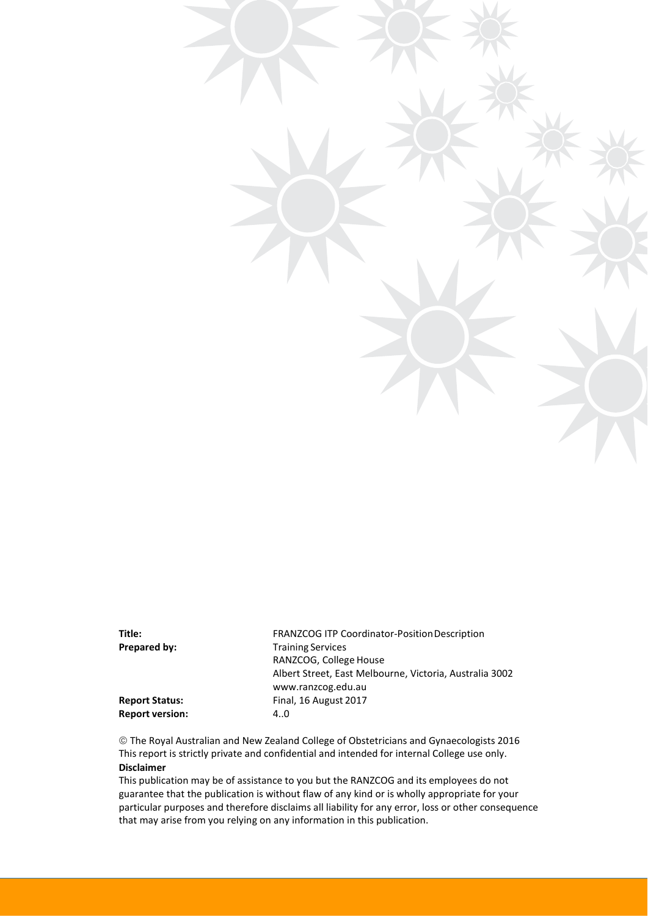| Title:                 | FRANZCOG ITP Coordinator-Position Description           |
|------------------------|---------------------------------------------------------|
| <b>Prepared by:</b>    | <b>Training Services</b>                                |
|                        | RANZCOG, College House                                  |
|                        | Albert Street, East Melbourne, Victoria, Australia 3002 |
|                        | www.ranzcog.edu.au                                      |
| <b>Report Status:</b>  | Final, 16 August 2017                                   |
| <b>Report version:</b> | $4_{}0$                                                 |

 The Royal Australian and New Zealand College of Obstetricians and Gynaecologists 2016 This report is strictly private and confidential and intended for internal College use only. **Disclaimer**

This publication may be of assistance to you but the RANZCOG and its employees do not guarantee that the publication is without flaw of any kind or is wholly appropriate for your particular purposes and therefore disclaims all liability for any error, loss or other consequence that may arise from you relying on any information in this publication.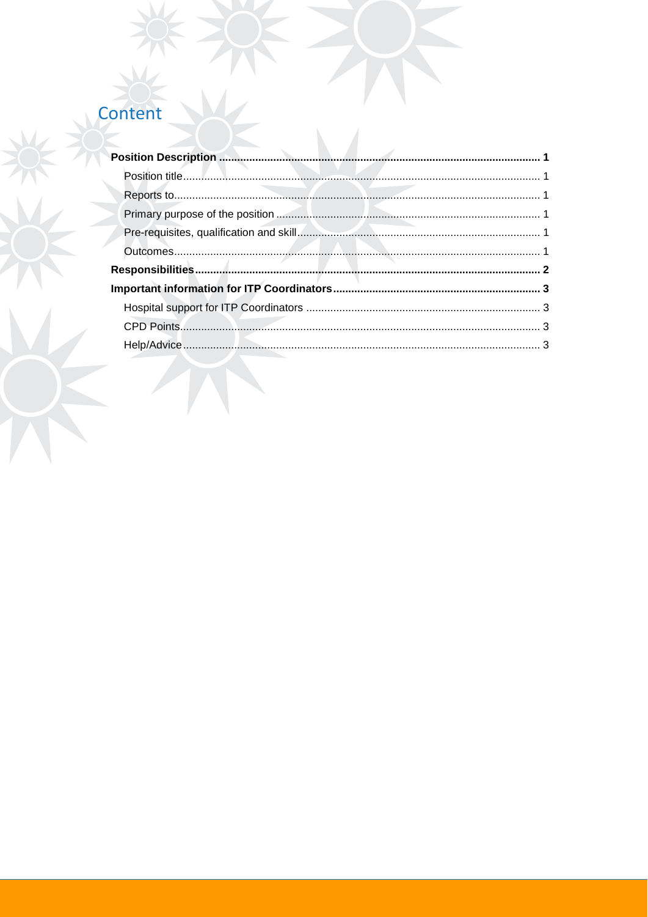# Content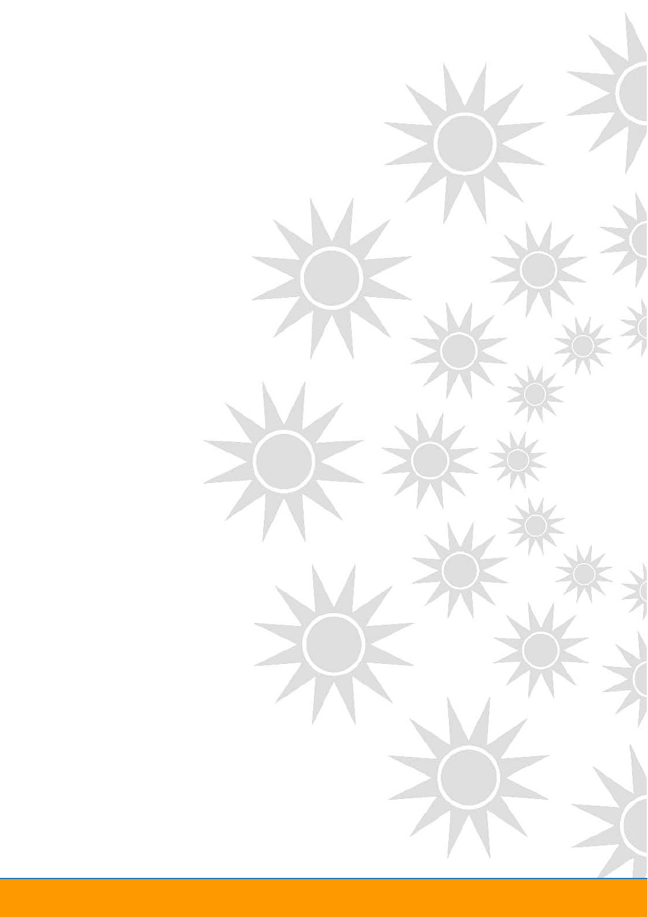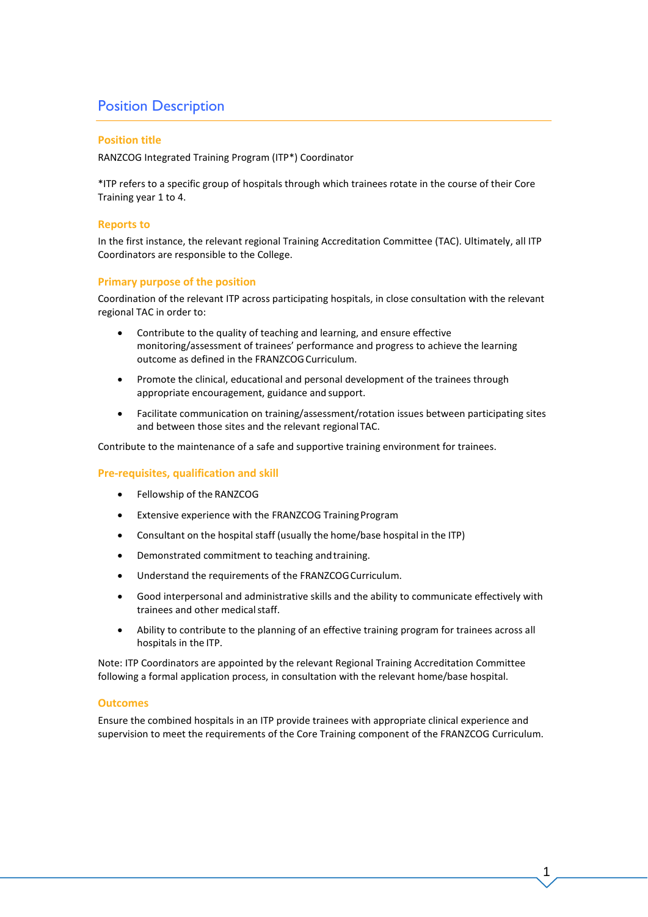# <span id="page-4-0"></span>Position Description

#### <span id="page-4-1"></span>**Position title**

RANZCOG Integrated Training Program (ITP\*) Coordinator

\*ITP refers to a specific group of hospitals through which trainees rotate in the course of their Core Training year 1 to 4.

#### <span id="page-4-2"></span>**Reports to**

In the first instance, the relevant regional Training Accreditation Committee (TAC). Ultimately, all ITP Coordinators are responsible to the College.

#### <span id="page-4-3"></span>**Primary purpose of the position**

Coordination of the relevant ITP across participating hospitals, in close consultation with the relevant regional TAC in order to:

- Contribute to the quality of teaching and learning, and ensure effective monitoring/assessment of trainees' performance and progress to achieve the learning outcome as defined in the FRANZCOG Curriculum.
- Promote the clinical, educational and personal development of the trainees through appropriate encouragement, guidance and support.
- Facilitate communication on training/assessment/rotation issues between participating sites and between those sites and the relevant regionalTAC.

Contribute to the maintenance of a safe and supportive training environment for trainees.

#### <span id="page-4-4"></span>**Pre‐requisites, qualification and skill**

- Fellowship of the RANZCOG
- Extensive experience with the FRANZCOG Training Program
- Consultant on the hospital staff (usually the home/base hospital in the ITP)
- Demonstrated commitment to teaching andtraining.
- Understand the requirements of the FRANZCOG Curriculum.
- Good interpersonal and administrative skills and the ability to communicate effectively with trainees and other medicalstaff.
- Ability to contribute to the planning of an effective training program for trainees across all hospitals in the ITP.

Note: ITP Coordinators are appointed by the relevant Regional Training Accreditation Committee following a formal application process, in consultation with the relevant home/base hospital.

#### <span id="page-4-5"></span>**Outcomes**

Ensure the combined hospitals in an ITP provide trainees with appropriate clinical experience and supervision to meet the requirements of the Core Training component of the FRANZCOG Curriculum.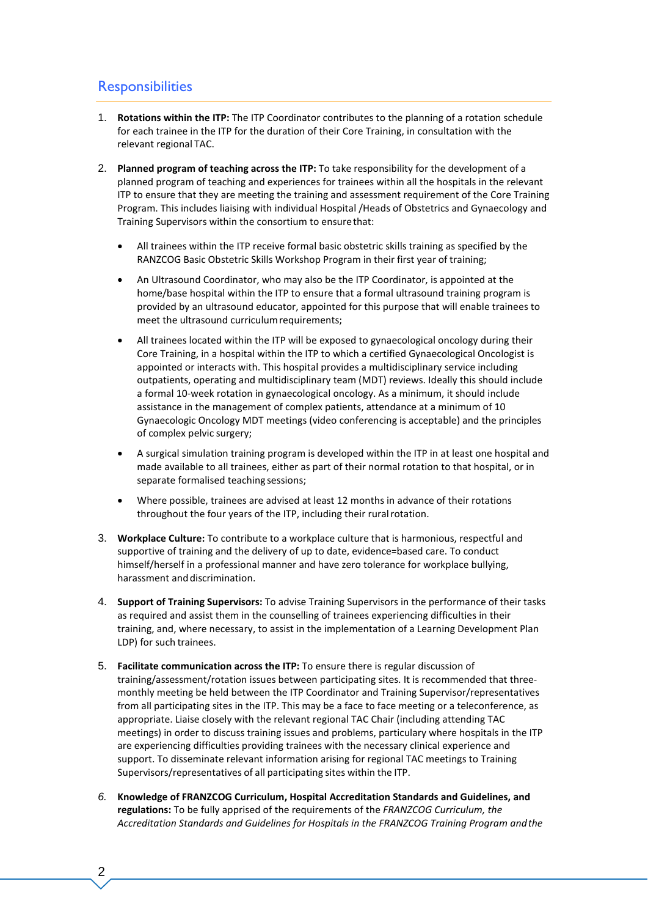## <span id="page-5-0"></span>**Responsibilities**

- 1. **Rotations within the ITP:** The ITP Coordinator contributes to the planning of a rotation schedule for each trainee in the ITP for the duration of their Core Training, in consultation with the relevant regional TAC.
- 2. **Planned program of teaching across the ITP:** To take responsibility for the development of a planned program of teaching and experiences for trainees within all the hospitals in the relevant ITP to ensure that they are meeting the training and assessment requirement of the Core Training Program. This includes liaising with individual Hospital /Heads of Obstetrics and Gynaecology and Training Supervisors within the consortium to ensurethat:
	- All trainees within the ITP receive formal basic obstetric skills training as specified by the RANZCOG Basic Obstetric Skills Workshop Program in their first year of training;
	- An Ultrasound Coordinator, who may also be the ITP Coordinator, is appointed at the home/base hospital within the ITP to ensure that a formal ultrasound training program is provided by an ultrasound educator, appointed for this purpose that will enable trainees to meet the ultrasound curriculumrequirements;
	- All trainees located within the ITP will be exposed to gynaecological oncology during their Core Training, in a hospital within the ITP to which a certified Gynaecological Oncologist is appointed or interacts with. This hospital provides a multidisciplinary service including outpatients, operating and multidisciplinary team (MDT) reviews. Ideally this should include a formal 10‐week rotation in gynaecological oncology. As a minimum, it should include assistance in the management of complex patients, attendance at a minimum of 10 Gynaecologic Oncology MDT meetings (video conferencing is acceptable) and the principles of complex pelvic surgery;
	- A surgical simulation training program is developed within the ITP in at least one hospital and made available to all trainees, either as part of their normal rotation to that hospital, or in separate formalised teaching sessions;
	- Where possible, trainees are advised at least 12 months in advance of their rotations throughout the four years of the ITP, including their rural rotation.
- 3. **Workplace Culture:** To contribute to a workplace culture that is harmonious, respectful and supportive of training and the delivery of up to date, evidence=based care. To conduct himself/herself in a professional manner and have zero tolerance for workplace bullying, harassment and discrimination.
- 4. **Support of Training Supervisors:** To advise Training Supervisors in the performance of their tasks as required and assist them in the counselling of trainees experiencing difficulties in their training, and, where necessary, to assist in the implementation of a Learning Development Plan LDP) for such trainees.
- 5. **Facilitate communication across the ITP:** To ensure there is regular discussion of training/assessment/rotation issues between participating sites. It is recommended that three‐ monthly meeting be held between the ITP Coordinator and Training Supervisor/representatives from all participating sites in the ITP. This may be a face to face meeting or a teleconference, as appropriate. Liaise closely with the relevant regional TAC Chair (including attending TAC meetings) in order to discuss training issues and problems, particulary where hospitals in the ITP are experiencing difficulties providing trainees with the necessary clinical experience and support. To disseminate relevant information arising for regional TAC meetings to Training Supervisors/representatives of all participating sites within the ITP.
- *6.* **Knowledge of FRANZCOG Curriculum, Hospital Accreditation Standards and Guidelines, and regulations:** To be fully apprised of the requirements of the *FRANZCOG Curriculum, the Accreditation Standards and Guidelines for Hospitals in the FRANZCOG Training Program andthe*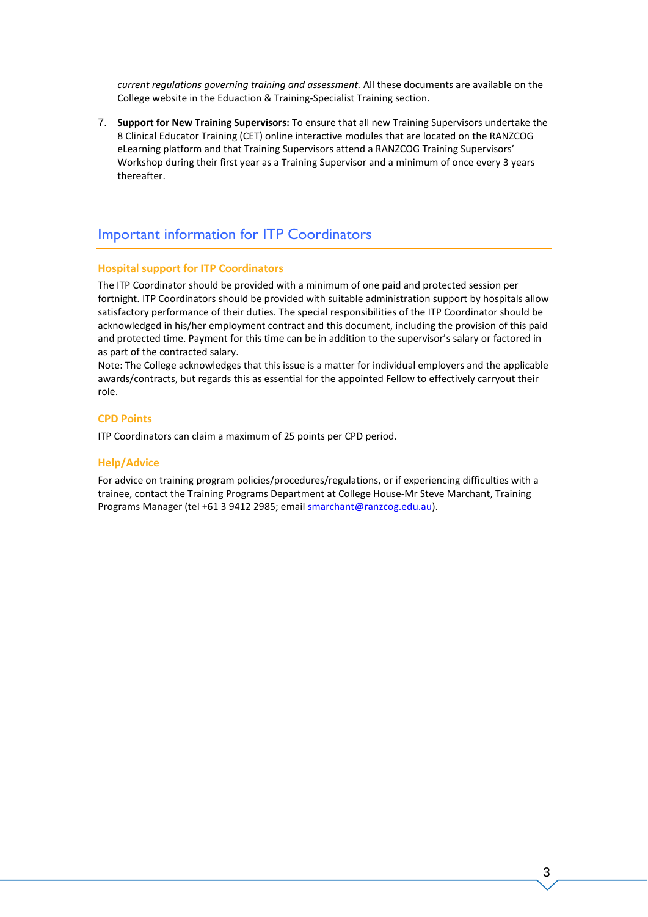*current regulations governing training and assessment.* All these documents are available on the College website in the Eduaction & Training‐Specialist Training section.

7. **Support for New Training Supervisors:** To ensure that all new Training Supervisors undertake the 8 Clinical Educator Training (CET) online interactive modules that are located on the RANZCOG eLearning platform and that Training Supervisors attend a RANZCOG Training Supervisors' Workshop during their first year as a Training Supervisor and a minimum of once every 3 years thereafter.

### <span id="page-6-0"></span>Important information for ITP Coordinators

#### <span id="page-6-1"></span>**Hospital support for ITP Coordinators**

The ITP Coordinator should be provided with a minimum of one paid and protected session per fortnight. ITP Coordinators should be provided with suitable administration support by hospitals allow satisfactory performance of their duties. The special responsibilities of the ITP Coordinator should be acknowledged in his/her employment contract and this document, including the provision of this paid and protected time. Payment for this time can be in addition to the supervisor's salary or factored in as part of the contracted salary.

Note: The College acknowledges that this issue is a matter for individual employers and the applicable awards/contracts, but regards this as essential for the appointed Fellow to effectively carryout their role.

#### <span id="page-6-2"></span>**CPD Points**

ITP Coordinators can claim a maximum of 25 points per CPD period.

#### <span id="page-6-3"></span>**Help/Advice**

For advice on training program policies/procedures/regulations, or if experiencing difficulties with a trainee, contact the Training Programs Department at College House-Mr Steve Marchant, Training Programs Manager (tel +61 3 9412 2985; email smarchant@ranzcog.edu.au).